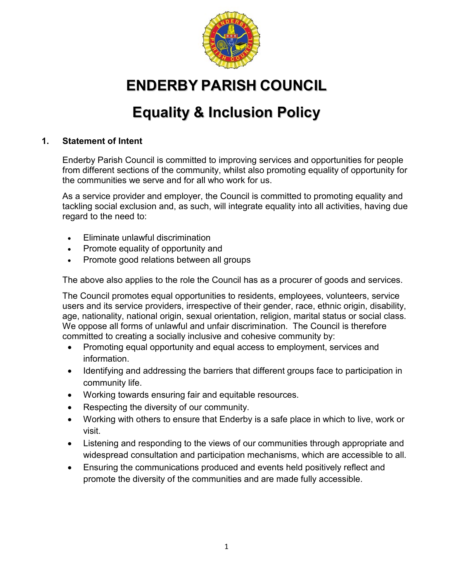

# **ENDERBY PARISH COUNCIL**

# **Equality & Inclusion Policy**

#### **1. Statement of Intent**

Enderby Parish Council is committed to improving services and opportunities for people from different sections of the community, whilst also promoting equality of opportunity for the communities we serve and for all who work for us.

As a service provider and employer, the Council is committed to promoting equality and tackling social exclusion and, as such, will integrate equality into all activities, having due regard to the need to:

- Eliminate unlawful discrimination
- Promote equality of opportunity and
- Promote good relations between all groups

The above also applies to the role the Council has as a procurer of goods and services.

The Council promotes equal opportunities to residents, employees, volunteers, service users and its service providers, irrespective of their gender, race, ethnic origin, disability, age, nationality, national origin, sexual orientation, religion, marital status or social class. We oppose all forms of unlawful and unfair discrimination. The Council is therefore committed to creating a socially inclusive and cohesive community by:

- Promoting equal opportunity and equal access to employment, services and information.
- Identifying and addressing the barriers that different groups face to participation in community life.
- Working towards ensuring fair and equitable resources.
- Respecting the diversity of our community.
- Working with others to ensure that Enderby is a safe place in which to live, work or visit.
- Listening and responding to the views of our communities through appropriate and widespread consultation and participation mechanisms, which are accessible to all.
- Ensuring the communications produced and events held positively reflect and promote the diversity of the communities and are made fully accessible.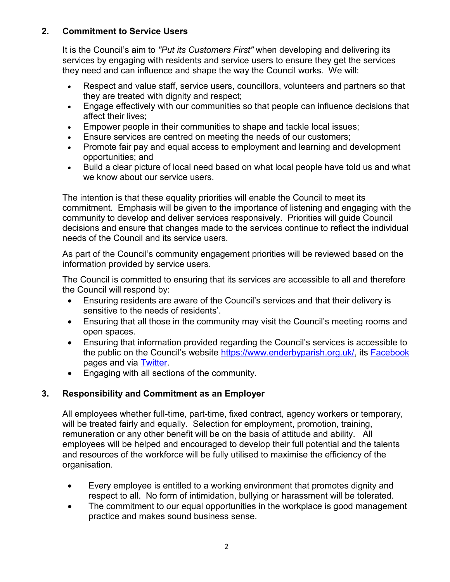#### **2. Commitment to Service Users**

It is the Council's aim to *"Put its Customers First"* when developing and delivering its services by engaging with residents and service users to ensure they get the services they need and can influence and shape the way the Council works. We will:

- Respect and value staff, service users, councillors, volunteers and partners so that they are treated with dignity and respect;
- Engage effectively with our communities so that people can influence decisions that affect their lives;
- Empower people in their communities to shape and tackle local issues;
- Ensure services are centred on meeting the needs of our customers;
- Promote fair pay and equal access to employment and learning and development opportunities; and
- Build a clear picture of local need based on what local people have told us and what we know about our service users.

The intention is that these equality priorities will enable the Council to meet its commitment. Emphasis will be given to the importance of listening and engaging with the community to develop and deliver services responsively. Priorities will guide Council decisions and ensure that changes made to the services continue to reflect the individual needs of the Council and its service users.

As part of the Council's community engagement priorities will be reviewed based on the information provided by service users.

The Council is committed to ensuring that its services are accessible to all and therefore the Council will respond by:

- Ensuring residents are aware of the Council's services and that their delivery is sensitive to the needs of residents'.
- Ensuring that all those in the community may visit the Council's meeting rooms and open spaces.
- Ensuring that information provided regarding the Council's services is accessible to the public on the Council's website [https://www.enderbyparish.org.uk/,](https://www.enderbyparish.org.uk/) its [Facebook](https://www.facebook.com/enderbyparish/?ref=settings) pages and via [Twitter.](https://twitter.com/enderbypc)
- Engaging with all sections of the community.

# **3. Responsibility and Commitment as an Employer**

All employees whether full-time, part-time, fixed contract, agency workers or temporary, will be treated fairly and equally. Selection for employment, promotion, training, remuneration or any other benefit will be on the basis of attitude and ability. All employees will be helped and encouraged to develop their full potential and the talents and resources of the workforce will be fully utilised to maximise the efficiency of the organisation.

- Every employee is entitled to a working environment that promotes dignity and respect to all. No form of intimidation, bullying or harassment will be tolerated.
- The commitment to our equal opportunities in the workplace is good management practice and makes sound business sense.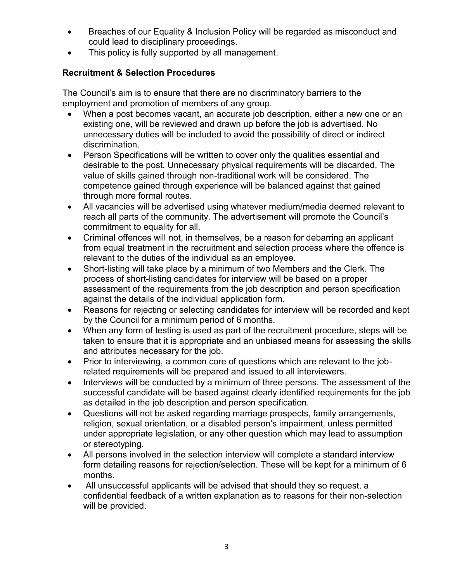- Breaches of our Equality & Inclusion Policy will be regarded as misconduct and could lead to disciplinary proceedings.
- This policy is fully supported by all management.

# **Recruitment & Selection Procedures**

The Council's aim is to ensure that there are no discriminatory barriers to the employment and promotion of members of any group.

- When a post becomes vacant, an accurate job description, either a new one or an existing one, will be reviewed and drawn up before the job is advertised. No unnecessary duties will be included to avoid the possibility of direct or indirect discrimination.
- Person Specifications will be written to cover only the qualities essential and desirable to the post. Unnecessary physical requirements will be discarded. The value of skills gained through non-traditional work will be considered. The competence gained through experience will be balanced against that gained through more formal routes.
- All vacancies will be advertised using whatever medium/media deemed relevant to reach all parts of the community. The advertisement will promote the Council's commitment to equality for all.
- Criminal offences will not, in themselves, be a reason for debarring an applicant from equal treatment in the recruitment and selection process where the offence is relevant to the duties of the individual as an employee.
- Short-listing will take place by a minimum of two Members and the Clerk. The process of short-listing candidates for interview will be based on a proper assessment of the requirements from the job description and person specification against the details of the individual application form.
- Reasons for rejecting or selecting candidates for interview will be recorded and kept by the Council for a minimum period of 6 months.
- When any form of testing is used as part of the recruitment procedure, steps will be taken to ensure that it is appropriate and an unbiased means for assessing the skills and attributes necessary for the job.
- Prior to interviewing, a common core of questions which are relevant to the jobrelated requirements will be prepared and issued to all interviewers.
- Interviews will be conducted by a minimum of three persons. The assessment of the successful candidate will be based against clearly identified requirements for the job as detailed in the job description and person specification.
- Questions will not be asked regarding marriage prospects, family arrangements, religion, sexual orientation, or a disabled person's impairment, unless permitted under appropriate legislation, or any other question which may lead to assumption or stereotyping.
- All persons involved in the selection interview will complete a standard interview form detailing reasons for rejection/selection. These will be kept for a minimum of 6 months.
- All unsuccessful applicants will be advised that should they so request, a confidential feedback of a written explanation as to reasons for their non-selection will be provided.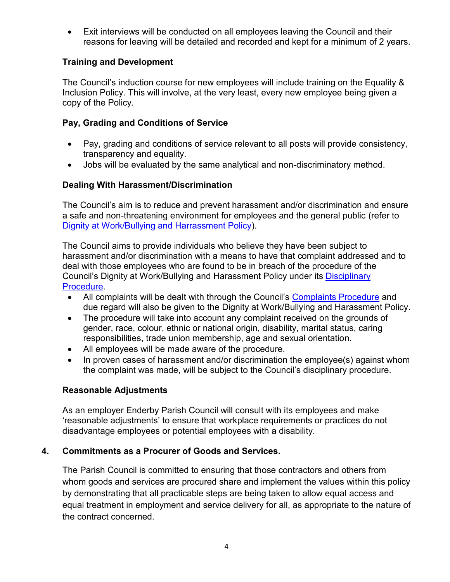Exit interviews will be conducted on all employees leaving the Council and their reasons for leaving will be detailed and recorded and kept for a minimum of 2 years.

#### **Training and Development**

The Council's induction course for new employees will include training on the Equality & Inclusion Policy. This will involve, at the very least, every new employee being given a copy of the Policy.

## **Pay, Grading and Conditions of Service**

- Pay, grading and conditions of service relevant to all posts will provide consistency, transparency and equality.
- Jobs will be evaluated by the same analytical and non-discriminatory method.

## **Dealing With Harassment/Discrimination**

The Council's aim is to reduce and prevent harassment and/or discrimination and ensure a safe and non-threatening environment for employees and the general public (refer to [Dignity at Work/Bullying and Harrassment Policy\)](https://www.enderbyparish.org.uk/uploads/enderby-parish-council---dignity-at-work-bullying-harrassment-policy---adopted-12th-april-2017.pdf).

The Council aims to provide individuals who believe they have been subject to harassment and/or discrimination with a means to have that complaint addressed and to deal with those employees who are found to be in breach of the procedure of the Council's Dignity at Work/Bullying and Harassment Policy under its [Disciplinary](https://www.enderbyparish.org.uk/uploads/disciplinary-grievance-arrangements---adopted-24-04-13.pdf)  [Procedure.](https://www.enderbyparish.org.uk/uploads/disciplinary-grievance-arrangements---adopted-24-04-13.pdf)

- All complaints will be dealt with through the Council's [Complaints Procedure](https://www.enderbyparish.org.uk/uploads/complaints-procedure-2014-12-10.pdf) and due regard will also be given to the Dignity at Work/Bullying and Harassment Policy.
- The procedure will take into account any complaint received on the grounds of gender, race, colour, ethnic or national origin, disability, marital status, caring responsibilities, trade union membership, age and sexual orientation.
- All employees will be made aware of the procedure.
- In proven cases of harassment and/or discrimination the employee(s) against whom the complaint was made, will be subject to the Council's disciplinary procedure.

#### **Reasonable Adjustments**

As an employer Enderby Parish Council will consult with its employees and make 'reasonable adjustments' to ensure that workplace requirements or practices do not disadvantage employees or potential employees with a disability.

# **4. Commitments as a Procurer of Goods and Services.**

The Parish Council is committed to ensuring that those contractors and others from whom goods and services are procured share and implement the values within this policy by demonstrating that all practicable steps are being taken to allow equal access and equal treatment in employment and service delivery for all, as appropriate to the nature of the contract concerned.